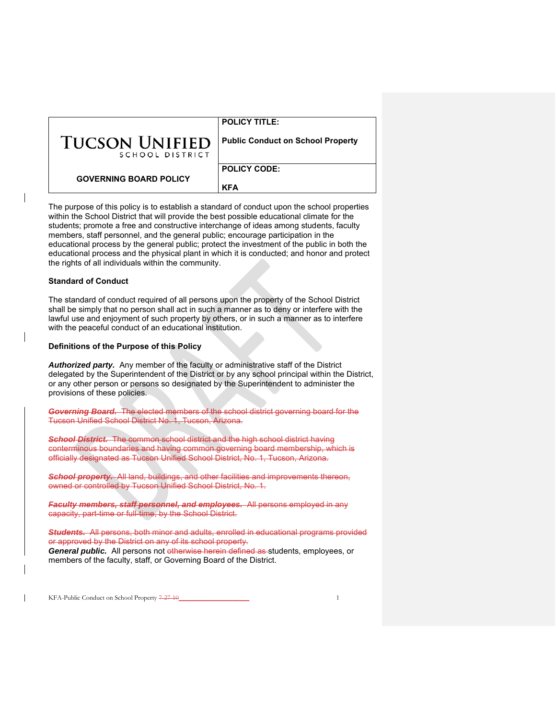|                                          | <b>POLICY TITLE:</b>                     |
|------------------------------------------|------------------------------------------|
| <b>TUCSON UNIFIED</b><br>SCHOOL DISTRICT | <b>Public Conduct on School Property</b> |
| <b>GOVERNING BOARD POLICY</b>            | <b>POLICY CODE:</b><br><b>KFA</b>        |

The purpose of this policy is to establish a standard of conduct upon the school properties within the School District that will provide the best possible educational climate for the students; promote a free and constructive interchange of ideas among students, faculty members, staff personnel, and the general public; encourage participation in the educational process by the general public; protect the investment of the public in both the educational process and the physical plant in which it is conducted; and honor and protect the rights of all individuals within the community.

#### **Standard of Conduct**

The standard of conduct required of all persons upon the property of the School District shall be simply that no person shall act in such a manner as to deny or interfere with the lawful use and enjoyment of such property by others, or in such a manner as to interfere with the peaceful conduct of an educational institution.

#### **Definitions of the Purpose of this Policy**

*Authorized party.* Any member of the faculty or administrative staff of the District delegated by the Superintendent of the District or by any school principal within the District, or any other person or persons so designated by the Superintendent to administer the provisions of these policies.

*Governing Board.* The elected members of the school district governing board for the Tucson Unified School District No. 1, Tucson, Arizona.

*School District.* The common school district and the high school district having conterminous boundaries and having common governing board membership, which is officially designated as Tucson Unified School District, No. 1, Tucson, Arizona.

*School property.* All land, buildings, and other facilities and improvements thereon, owned or controlled by Tucson Unified School District, No. 1.

**Faculty members, staff personnel, and employees.** All persons employed in any capacity, part-time or full-time, by the School District.

**Students.** All persons, both minor and adults, enrolled in educational programs provided or approved by the District on any of its school property. **General public.** All persons not otherwise herein defined as students, employees, or

KFA-Public Conduct on School Property 7-27-10\_\_\_\_\_\_\_\_\_\_\_\_\_\_\_\_\_\_\_\_\_ 1

members of the faculty, staff, or Governing Board of the District.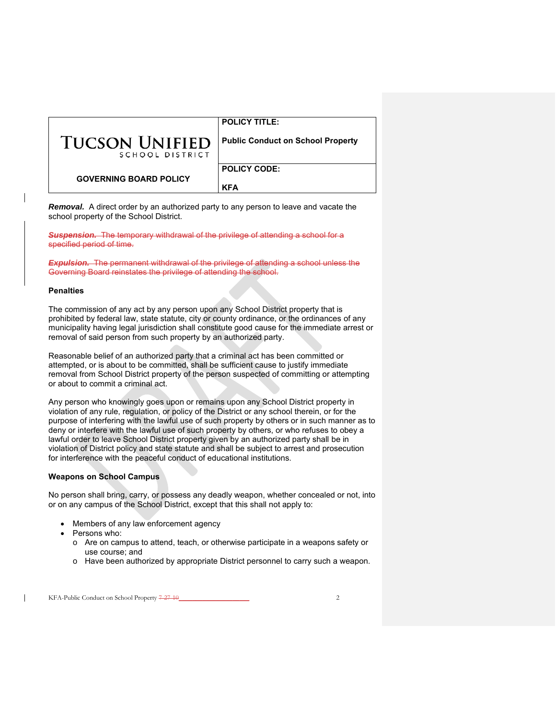|                                          | <b>POLICY TITLE:</b>                     |
|------------------------------------------|------------------------------------------|
| <b>TUCSON UNIFIED</b><br>SCHOOL DISTRICT | <b>Public Conduct on School Property</b> |
| <b>GOVERNING BOARD POLICY</b>            | <b>POLICY CODE:</b>                      |
|                                          | <b>KFA</b>                               |

**Removal.** A direct order by an authorized party to any person to leave and vacate the school property of the School District.

*Suspension.* The temporary withdrawal of the privilege of attending a school for a specified period of time.

*Expulsion.* The permanent withdrawal of the privilege of attending a school unless the Governing Board reinstates the privilege of attending the school.

## **Penalties**

The commission of any act by any person upon any School District property that is prohibited by federal law, state statute, city or county ordinance, or the ordinances of any municipality having legal jurisdiction shall constitute good cause for the immediate arrest or removal of said person from such property by an authorized party.

Reasonable belief of an authorized party that a criminal act has been committed or attempted, or is about to be committed, shall be sufficient cause to justify immediate removal from School District property of the person suspected of committing or attempting or about to commit a criminal act.

Any person who knowingly goes upon or remains upon any School District property in violation of any rule, regulation, or policy of the District or any school therein, or for the purpose of interfering with the lawful use of such property by others or in such manner as to deny or interfere with the lawful use of such property by others, or who refuses to obey a lawful order to leave School District property given by an authorized party shall be in violation of District policy and state statute and shall be subject to arrest and prosecution for interference with the peaceful conduct of educational institutions.

## **Weapons on School Campus**

No person shall bring, carry, or possess any deadly weapon, whether concealed or not, into or on any campus of the School District, except that this shall not apply to:

- Members of any law enforcement agency
- Persons who:
	- o Are on campus to attend, teach, or otherwise participate in a weapons safety or use course; and
	- o Have been authorized by appropriate District personnel to carry such a weapon.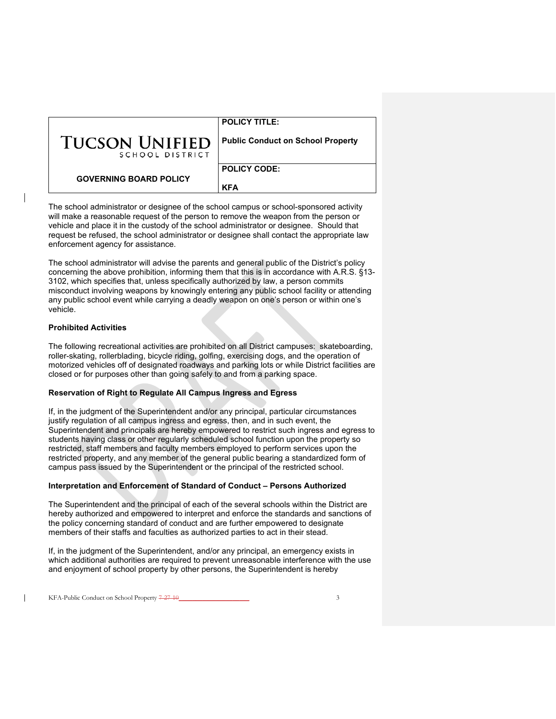|                                          | <b>POLICY TITLE:</b>                     |
|------------------------------------------|------------------------------------------|
| <b>TUCSON UNIFIED</b><br>SCHOOL DISTRICT | <b>Public Conduct on School Property</b> |
| <b>GOVERNING BOARD POLICY</b>            | <b>POLICY CODE:</b>                      |
|                                          | <b>KFA</b>                               |

The school administrator or designee of the school campus or school-sponsored activity will make a reasonable request of the person to remove the weapon from the person or vehicle and place it in the custody of the school administrator or designee. Should that request be refused, the school administrator or designee shall contact the appropriate law enforcement agency for assistance.

The school administrator will advise the parents and general public of the District's policy concerning the above prohibition, informing them that this is in accordance with A.R.S. §13- 3102, which specifies that, unless specifically authorized by law, a person commits misconduct involving weapons by knowingly entering any public school facility or attending any public school event while carrying a deadly weapon on one's person or within one's vehicle.

## **Prohibited Activities**

The following recreational activities are prohibited on all District campuses: skateboarding, roller-skating, rollerblading, bicycle riding, golfing, exercising dogs, and the operation of motorized vehicles off of designated roadways and parking lots or while District facilities are closed or for purposes other than going safely to and from a parking space.

## **Reservation of Right to Regulate All Campus Ingress and Egress**

If, in the judgment of the Superintendent and/or any principal, particular circumstances justify regulation of all campus ingress and egress, then, and in such event, the Superintendent and principals are hereby empowered to restrict such ingress and egress to students having class or other regularly scheduled school function upon the property so restricted, staff members and faculty members employed to perform services upon the restricted property, and any member of the general public bearing a standardized form of campus pass issued by the Superintendent or the principal of the restricted school.

## **Interpretation and Enforcement of Standard of Conduct – Persons Authorized**

The Superintendent and the principal of each of the several schools within the District are hereby authorized and empowered to interpret and enforce the standards and sanctions of the policy concerning standard of conduct and are further empowered to designate members of their staffs and faculties as authorized parties to act in their stead.

If, in the judgment of the Superintendent, and/or any principal, an emergency exists in which additional authorities are required to prevent unreasonable interference with the use and enjoyment of school property by other persons, the Superintendent is hereby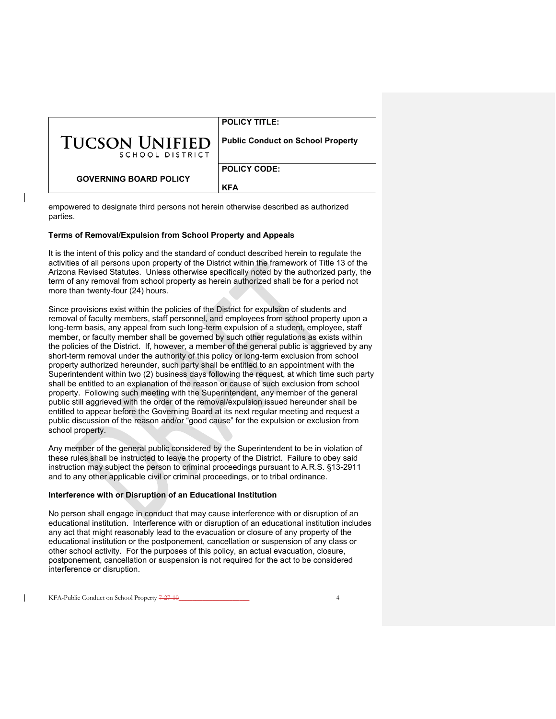|                                          | <b>POLICY TITLE:</b>                     |
|------------------------------------------|------------------------------------------|
| <b>TUCSON UNIFIED</b><br>SCHOOL DISTRICT | <b>Public Conduct on School Property</b> |
| <b>GOVERNING BOARD POLICY</b>            | <b>POLICY CODE:</b>                      |
|                                          | <b>KFA</b>                               |

empowered to designate third persons not herein otherwise described as authorized parties.

## **Terms of Removal/Expulsion from School Property and Appeals**

It is the intent of this policy and the standard of conduct described herein to regulate the activities of all persons upon property of the District within the framework of Title 13 of the Arizona Revised Statutes. Unless otherwise specifically noted by the authorized party, the term of any removal from school property as herein authorized shall be for a period not more than twenty-four (24) hours.

Since provisions exist within the policies of the District for expulsion of students and removal of faculty members, staff personnel, and employees from school property upon a long-term basis, any appeal from such long-term expulsion of a student, employee, staff member, or faculty member shall be governed by such other regulations as exists within the policies of the District. If, however, a member of the general public is aggrieved by any short-term removal under the authority of this policy or long-term exclusion from school property authorized hereunder, such party shall be entitled to an appointment with the Superintendent within two (2) business days following the request, at which time such party shall be entitled to an explanation of the reason or cause of such exclusion from school property. Following such meeting with the Superintendent, any member of the general public still aggrieved with the order of the removal/expulsion issued hereunder shall be entitled to appear before the Governing Board at its next regular meeting and request a public discussion of the reason and/or "good cause" for the expulsion or exclusion from school property.

Any member of the general public considered by the Superintendent to be in violation of these rules shall be instructed to leave the property of the District. Failure to obey said instruction may subject the person to criminal proceedings pursuant to A.R.S. §13-2911 and to any other applicable civil or criminal proceedings, or to tribal ordinance.

#### **Interference with or Disruption of an Educational Institution**

No person shall engage in conduct that may cause interference with or disruption of an educational institution. Interference with or disruption of an educational institution includes any act that might reasonably lead to the evacuation or closure of any property of the educational institution or the postponement, cancellation or suspension of any class or other school activity. For the purposes of this policy, an actual evacuation, closure, postponement, cancellation or suspension is not required for the act to be considered interference or disruption.

KFA-Public Conduct on School Property 7-27-10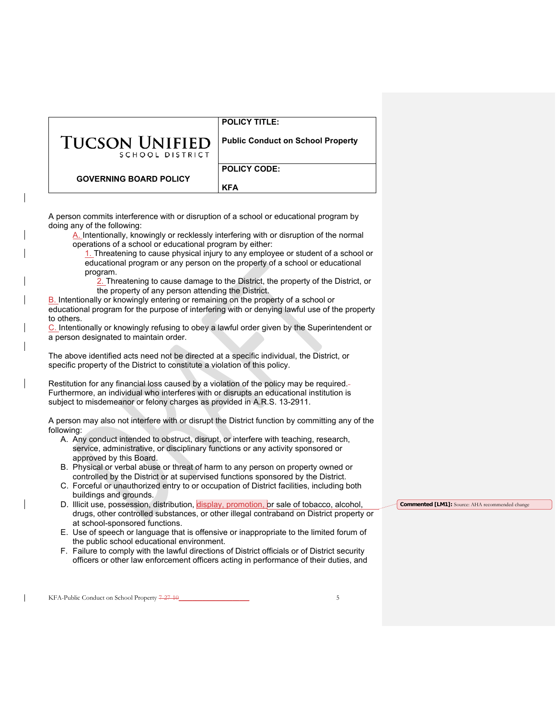| POLICY TITLE: |  |
|---------------|--|
|               |  |

| <b>TUCSON UNIFIED</b> |                 |  |
|-----------------------|-----------------|--|
|                       | SCHOOL DISTRICT |  |

**Public Conduct on School Property**

**GOVERNING BOARD POLICY**

**POLICY CODE:** 

A person commits interference with or disruption of a school or educational program by doing any of the following:

A. Intentionally, knowingly or recklessly interfering with or disruption of the normal operations of a school or educational program by either:

1. Threatening to cause physical injury to any employee or student of a school or educational program or any person on the property of a school or educational program.

**KFA**

2. Threatening to cause damage to the District, the property of the District, or the property of any person attending the District.

B. Intentionally or knowingly entering or remaining on the property of a school or educational program for the purpose of interfering with or denying lawful use of the property to others.

C. Intentionally or knowingly refusing to obey a lawful order given by the Superintendent or a person designated to maintain order.

The above identified acts need not be directed at a specific individual, the District, or specific property of the District to constitute a violation of this policy.

Restitution for any financial loss caused by a violation of the policy may be required. Furthermore, an individual who interferes with or disrupts an educational institution is subject to misdemeanor or felony charges as provided in A.R.S. 13-2911.

A person may also not interfere with or disrupt the District function by committing any of the following:

- A. Any conduct intended to obstruct, disrupt, or interfere with teaching, research, service, administrative, or disciplinary functions or any activity sponsored or approved by this Board.
- B. Physical or verbal abuse or threat of harm to any person on property owned or controlled by the District or at supervised functions sponsored by the District.
- C. Forceful or unauthorized entry to or occupation of District facilities, including both buildings and grounds.
- D. Illicit use, possession, distribution, display, promotion, or sale of tobacco, alcohol, drugs, other controlled substances, or other illegal contraband on District property or at school-sponsored functions.
- E. Use of speech or language that is offensive or inappropriate to the limited forum of the public school educational environment.
- F. Failure to comply with the lawful directions of District officials or of District security officers or other law enforcement officers acting in performance of their duties, and

KFA-Public Conduct on School Property  $7-27-10$ 

**Commented [LM1]:** Source: AHA recommended change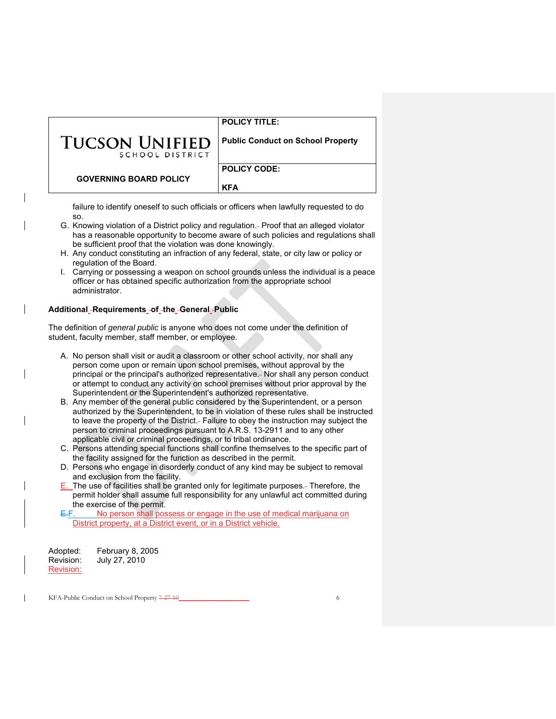|                                          | <b>POLICY TITLE:</b>                     |
|------------------------------------------|------------------------------------------|
| <b>TUCSON UNIFIED</b><br>SCHOOL DISTRICT | <b>Public Conduct on School Property</b> |
| <b>GOVERNING BOARD POLICY</b>            | <b>POLICY CODE:</b><br><b>KFA</b>        |

failure to identify oneself to such officials or officers when lawfully requested to do so.

- G. Knowing violation of a District policy and regulation. Proof that an alleged violator has a reasonable opportunity to become aware of such policies and regulations shall be sufficient proof that the violation was done knowingly.
- H. Any conduct constituting an infraction of any federal, state, or city law or policy or regulation of the Board.
- I. Carrying or possessing a weapon on school grounds unless the individual is a peace officer or has obtained specific authorization from the appropriate school administrator.

# **Additional Requirements of the General Public**

The definition of *general public* is anyone who does not come under the definition of student, faculty member, staff member, or employee.

- A. No person shall visit or audit a classroom or other school activity, nor shall any person come upon or remain upon school premises, without approval by the principal or the principal's authorized representative. Nor shall any person conduct or attempt to conduct any activity on school premises without prior approval by the Superintendent or the Superintendent's authorized representative.
- B. Any member of the general public considered by the Superintendent, or a person authorized by the Superintendent, to be in violation of these rules shall be instructed to leave the property of the District. Failure to obey the instruction may subject the person to criminal proceedings pursuant to A.R.S. 13-2911 and to any other applicable civil or criminal proceedings, or to tribal ordinance.
- C. Persons attending special functions shall confine themselves to the specific part of the facility assigned for the function as described in the permit.
- D. Persons who engage in disorderly conduct of any kind may be subject to removal and exclusion from the facility.
- E. The use of facilities shall be granted only for legitimate purposes. Therefore, the permit holder shall assume full responsibility for any unlawful act committed during the exercise of the permit.

E.F. No person shall possess or engage in the use of medical marijuana on District property, at a District event, or in a District vehicle.

| Adopted:  | February 8, 2005 |
|-----------|------------------|
| Revision: | July 27, 2010    |
| Revision: |                  |

KFA-Public Conduct on School Property 7-27-10\_\_\_\_\_\_\_\_\_\_\_\_\_\_\_\_\_\_\_\_\_\_\_\_\_\_\_\_\_\_ 6